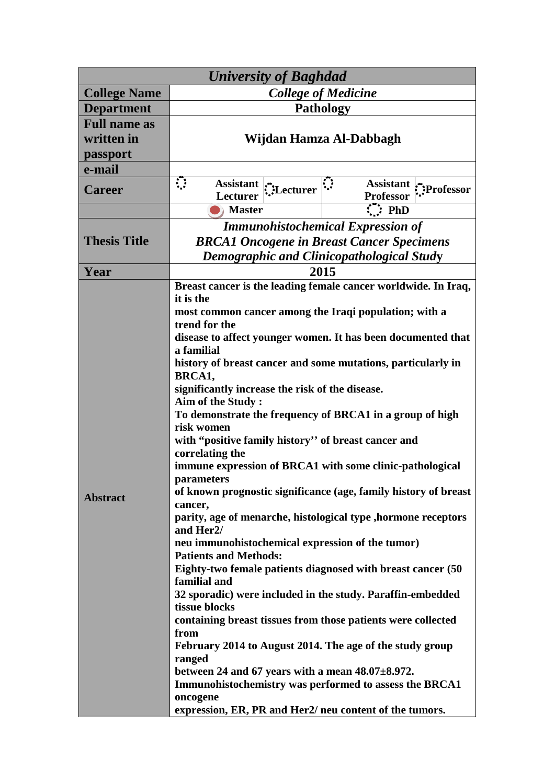| <b>University of Baghdad</b>                  |                                                                                                                                                                                                                                                                                                                                                                                                                                                                                                                                                                                                                                                                                                                                                                                                                                                                                                                                                                                                                                                                                                                                                                                                                                                                                                                                                                                           |  |
|-----------------------------------------------|-------------------------------------------------------------------------------------------------------------------------------------------------------------------------------------------------------------------------------------------------------------------------------------------------------------------------------------------------------------------------------------------------------------------------------------------------------------------------------------------------------------------------------------------------------------------------------------------------------------------------------------------------------------------------------------------------------------------------------------------------------------------------------------------------------------------------------------------------------------------------------------------------------------------------------------------------------------------------------------------------------------------------------------------------------------------------------------------------------------------------------------------------------------------------------------------------------------------------------------------------------------------------------------------------------------------------------------------------------------------------------------------|--|
| <b>College Name</b>                           | <b>College of Medicine</b>                                                                                                                                                                                                                                                                                                                                                                                                                                                                                                                                                                                                                                                                                                                                                                                                                                                                                                                                                                                                                                                                                                                                                                                                                                                                                                                                                                |  |
| <b>Department</b>                             | <b>Pathology</b>                                                                                                                                                                                                                                                                                                                                                                                                                                                                                                                                                                                                                                                                                                                                                                                                                                                                                                                                                                                                                                                                                                                                                                                                                                                                                                                                                                          |  |
| <b>Full name as</b><br>written in<br>passport | Wijdan Hamza Al-Dabbagh                                                                                                                                                                                                                                                                                                                                                                                                                                                                                                                                                                                                                                                                                                                                                                                                                                                                                                                                                                                                                                                                                                                                                                                                                                                                                                                                                                   |  |
| e-mail                                        |                                                                                                                                                                                                                                                                                                                                                                                                                                                                                                                                                                                                                                                                                                                                                                                                                                                                                                                                                                                                                                                                                                                                                                                                                                                                                                                                                                                           |  |
| <b>Career</b>                                 | $\mathbf{C}$<br>Assistant $\left \sum_{i=1}^{n} \frac{1}{i}\right $<br>Assistant :: Professor<br><b>Professor</b><br><b>Lecturer</b>                                                                                                                                                                                                                                                                                                                                                                                                                                                                                                                                                                                                                                                                                                                                                                                                                                                                                                                                                                                                                                                                                                                                                                                                                                                      |  |
|                                               | $\therefore$ PhD<br><b>Master</b>                                                                                                                                                                                                                                                                                                                                                                                                                                                                                                                                                                                                                                                                                                                                                                                                                                                                                                                                                                                                                                                                                                                                                                                                                                                                                                                                                         |  |
| <b>Thesis Title</b>                           | <b>Immunohistochemical Expression of</b><br><b>BRCA1 Oncogene in Breast Cancer Specimens</b><br><b>Demographic and Clinicopathological Study</b>                                                                                                                                                                                                                                                                                                                                                                                                                                                                                                                                                                                                                                                                                                                                                                                                                                                                                                                                                                                                                                                                                                                                                                                                                                          |  |
| Year                                          | 2015                                                                                                                                                                                                                                                                                                                                                                                                                                                                                                                                                                                                                                                                                                                                                                                                                                                                                                                                                                                                                                                                                                                                                                                                                                                                                                                                                                                      |  |
| <b>Abstract</b>                               | Breast cancer is the leading female cancer worldwide. In Iraq,<br>it is the<br>most common cancer among the Iraqi population; with a<br>trend for the<br>disease to affect younger women. It has been documented that<br>a familial<br>history of breast cancer and some mutations, particularly in<br>BRCA1,<br>significantly increase the risk of the disease.<br>Aim of the Study:<br>To demonstrate the frequency of BRCA1 in a group of high<br>risk women<br>with "positive family history" of breast cancer and<br>correlating the<br>immune expression of BRCA1 with some clinic-pathological<br>parameters<br>of known prognostic significance (age, family history of breast<br>cancer,<br>parity, age of menarche, histological type , hormone receptors<br>and Her <sub>2</sub> /<br>neu immunohistochemical expression of the tumor)<br><b>Patients and Methods:</b><br>Eighty-two female patients diagnosed with breast cancer (50<br>familial and<br>32 sporadic) were included in the study. Paraffin-embedded<br>tissue blocks<br>containing breast tissues from those patients were collected<br>from<br>February 2014 to August 2014. The age of the study group<br>ranged<br>between 24 and 67 years with a mean $48.07 \pm 8.972$ .<br>Immunohistochemistry was performed to assess the BRCA1<br>oncogene<br>expression, ER, PR and Her2/ neu content of the tumors. |  |